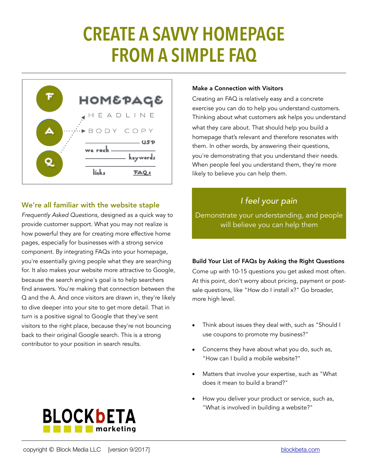# **CREATE A SAVVY HOMEPAGE FROM A SIMPLE FAQ**



## We're all familiar with the website staple

*Frequently Asked Questions*, designed as a quick way to provide customer support. What you may not realize is how powerful they are for creating more effective home pages, especially for businesses with a strong service component. By integrating FAQs into your homepage, you're essentially giving people what they are searching for. It also makes your website more attractive to Google, because the search engine's goal is to help searchers find answers. You're making that connection between the Q and the A. And once visitors are drawn in, they're likely to dive deeper into your site to get more detail. That in turn is a positive signal to Google that they've sent visitors to the right place, because they're not bouncing back to their original Google search. This is a strong contributor to your position in search results.

#### Make a Connection with Visitors

Creating an FAQ is relatively easy and a concrete exercise you can do to help you understand customers. Thinking about what customers ask helps you understand what they care about. That should help you build a homepage that's relevant and therefore resonates with them. In other words, by answering their questions, you're demonstrating that you understand their needs. When people feel you understand them, they're more likely to believe you can help them.

# *I feel your pain*

Demonstrate your understanding, and people will believe you can help them

#### Build Your List of FAQs by Asking the Right Questions

Come up with 10-15 questions you get asked most often. At this point, don't worry about pricing, payment or postsale questions, like "How do I install x?" Go broader, more high level.

- Think about issues they deal with, such as "Should I use coupons to promote my business?"
- Concerns they have about what you do, such as, "How can I build a mobile website?"
- Matters that involve your expertise, such as "What does it mean to build a brand?"
- How you deliver your product or service, such as, "What is involved in building a website?"



**BLOCKbETA** 

**THE marketing**